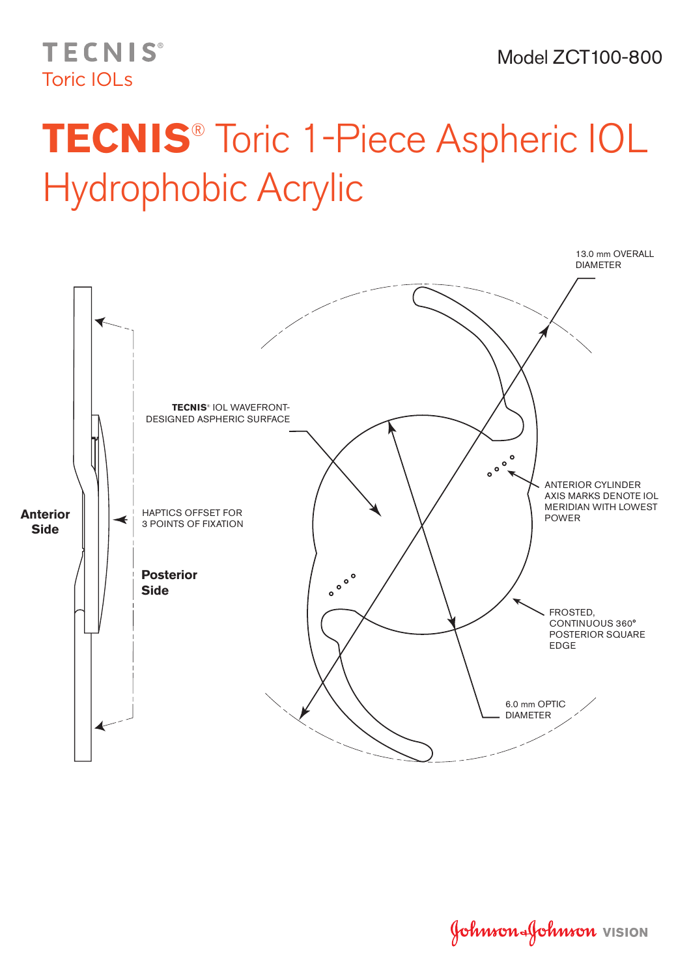## **TECNIS®** Toric IOLs

## **TECNIS**® Toric 1-Piece Aspheric IOL Hydrophobic Acrylic



Johnson Johnson VISION